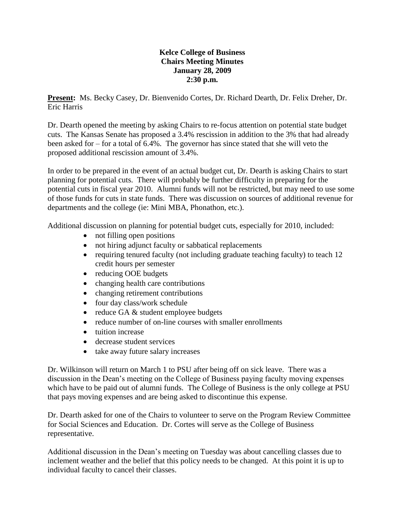## **Kelce College of Business Chairs Meeting Minutes January 28, 2009 2:30 p.m.**

**Present:** Ms. Becky Casey, Dr. Bienvenido Cortes, Dr. Richard Dearth, Dr. Felix Dreher, Dr. Eric Harris

Dr. Dearth opened the meeting by asking Chairs to re-focus attention on potential state budget cuts. The Kansas Senate has proposed a 3.4% rescission in addition to the 3% that had already been asked for – for a total of  $6.4\%$ . The governor has since stated that she will veto the proposed additional rescission amount of 3.4%.

In order to be prepared in the event of an actual budget cut, Dr. Dearth is asking Chairs to start planning for potential cuts. There will probably be further difficulty in preparing for the potential cuts in fiscal year 2010. Alumni funds will not be restricted, but may need to use some of those funds for cuts in state funds. There was discussion on sources of additional revenue for departments and the college (ie: Mini MBA, Phonathon, etc.).

Additional discussion on planning for potential budget cuts, especially for 2010, included:

- not filling open positions
- not hiring adjunct faculty or sabbatical replacements
- requiring tenured faculty (not including graduate teaching faculty) to teach 12 credit hours per semester
- reducing OOE budgets
- changing health care contributions
- changing retirement contributions
- four day class/work schedule
- reduce GA & student employee budgets
- reduce number of on-line courses with smaller enrollments
- tuition increase
- decrease student services
- take away future salary increases

Dr. Wilkinson will return on March 1 to PSU after being off on sick leave. There was a discussion in the Dean's meeting on the College of Business paying faculty moving expenses which have to be paid out of alumni funds. The College of Business is the only college at PSU that pays moving expenses and are being asked to discontinue this expense.

Dr. Dearth asked for one of the Chairs to volunteer to serve on the Program Review Committee for Social Sciences and Education. Dr. Cortes will serve as the College of Business representative.

Additional discussion in the Dean's meeting on Tuesday was about cancelling classes due to inclement weather and the belief that this policy needs to be changed. At this point it is up to individual faculty to cancel their classes.